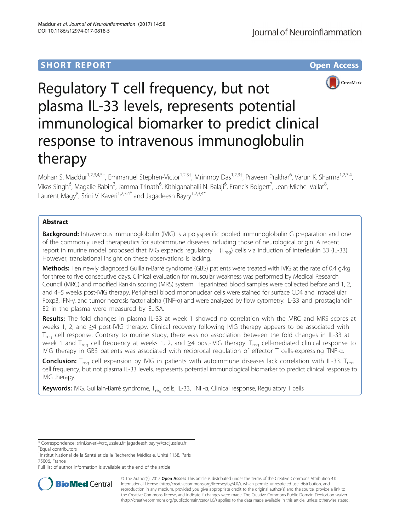# **SHORT REPORT SHORT CONSUMING THE CONSUMING THE CONSUMING THE CONSUMING THE CONSUMING THE CONSUMING THE CONSUMING THE CONSUMING THE CONSUMING THE CONSUMING THE CONSUMING THE CONSUMING THE CONSUMING THE CONSUMING THE CONS**



# Regulatory T cell frequency, but not plasma IL-33 levels, represents potential immunological biomarker to predict clinical response to intravenous immunoglobulin therapy

Mohan S. Maddur<sup>1,2,3,4,5†</sup>, Emmanuel Stephen-Victor<sup>1,2,3†</sup>, Mrinmoy Das<sup>1,2,3†</sup>, Praveen Prakhar<sup>6</sup>, Varun K. Sharma<sup>1,2,3,4</sup>, Vikas Singh<sup>6</sup>, Magalie Rabin<sup>3</sup>, Jamma Trinath<sup>6</sup>, Kithiganahalli N. Balaji<sup>6</sup>, Francis Bolgert<sup>7</sup>, Jean-Michel Vallat<sup>8</sup> , Laurent Magy<sup>8</sup>, Srini V. Kaveri<sup>1,2,3,4\*</sup> and Jagadeesh Bayry<sup>1,2,3,4\*</sup>

# Abstract

Background: Intravenous immunoglobulin (IVIG) is a polyspecific pooled immunoglobulin G preparation and one of the commonly used therapeutics for autoimmune diseases including those of neurological origin. A recent report in murine model proposed that IVIG expands regulatory T ( $T_{\text{req}}$ ) cells via induction of interleukin 33 (IL-33). However, translational insight on these observations is lacking.

Methods: Ten newly diagnosed Guillain-Barré syndrome (GBS) patients were treated with IVIG at the rate of 0.4 g/kg for three to five consecutive days. Clinical evaluation for muscular weakness was performed by Medical Research Council (MRC) and modified Rankin scoring (MRS) system. Heparinized blood samples were collected before and 1, 2, and 4–5 weeks post-IVIG therapy. Peripheral blood mononuclear cells were stained for surface CD4 and intracellular Foxp3, IFN-γ, and tumor necrosis factor alpha (TNF-α) and were analyzed by flow cytometry. IL-33 and prostaglandin E2 in the plasma were measured by ELISA.

Results: The fold changes in plasma IL-33 at week 1 showed no correlation with the MRC and MRS scores at weeks 1, 2, and ≥4 post-IVIG therapy. Clinical recovery following IVIG therapy appears to be associated with  $T_{\text{rea}}$  cell response. Contrary to murine study, there was no association between the fold changes in IL-33 at week 1 and T<sub>reg</sub> cell frequency at weeks 1, 2, and ≥4 post-IVIG therapy. T<sub>reg</sub> cell-mediated clinical response to IVIG therapy in GBS patients was associated with reciprocal regulation of effector T cells-expressing TNF-α.

**Conclusion:** T<sub>reg</sub> cell expansion by IVIG in patients with autoimmune diseases lack correlation with IL-33. T<sub>reg</sub> cell frequency, but not plasma IL-33 levels, represents potential immunological biomarker to predict clinical response to IVIG therapy.

Keywords: IVIG, Guillain-Barré syndrome, T<sub>reg</sub> cells, IL-33, TNF-a, Clinical response, Regulatory T cells

Equal contributors

Full list of author information is available at the end of the article



© The Author(s). 2017 **Open Access** This article is distributed under the terms of the Creative Commons Attribution 4.0 International License [\(http://creativecommons.org/licenses/by/4.0/](http://creativecommons.org/licenses/by/4.0/)), which permits unrestricted use, distribution, and reproduction in any medium, provided you give appropriate credit to the original author(s) and the source, provide a link to the Creative Commons license, and indicate if changes were made. The Creative Commons Public Domain Dedication waiver [\(http://creativecommons.org/publicdomain/zero/1.0/](http://creativecommons.org/publicdomain/zero/1.0/)) applies to the data made available in this article, unless otherwise stated.

<sup>\*</sup> Correspondence: [srini.kaveri@crc.jussieu.fr;](mailto:srini.kaveri@crc.jussieu.fr) [jagadeesh.bayry@crc.jussieu.fr](mailto:jagadeesh.bayry@crc.jussieu.fr) †

<sup>&</sup>lt;sup>1</sup>Institut National de la Santé et de la Recherche Médicale, Unité 1138, Paris 75006, France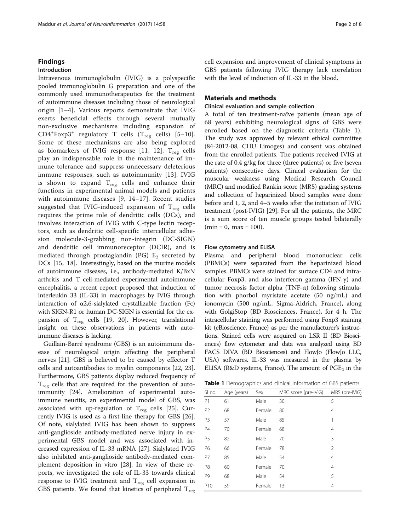# Findings

# Introduction

Intravenous immunoglobulin (IVIG) is a polyspecific pooled immunoglobulin G preparation and one of the commonly used immunotherapeutics for the treatment of autoimmune diseases including those of neurological origin [[1](#page-6-0)–[4](#page-6-0)]. Various reports demonstrate that IVIG exerts beneficial effects through several mutually non-exclusive mechanisms including expansion of  $CD4+Forp3+$  regulatory T cells (T<sub>reg</sub> cells) [[5](#page-6-0)-[10](#page-6-0)]. Some of these mechanisms are also being explored as biomarkers of IVIG response [[11, 12\]](#page-6-0).  $T_{\text{reg}}$  cells play an indispensable role in the maintenance of immune tolerance and suppress unnecessary deleterious immune responses, such as autoimmunity [\[13](#page-6-0)]. IVIG is shown to expand  $T_{reg}$  cells and enhance their functions in experimental animal models and patients with autoimmune diseases [\[9](#page-6-0), [14](#page-6-0)–[17\]](#page-7-0). Recent studies suggested that IVIG-induced expansion of  $T_{\text{reg}}$  cells requires the prime role of dendritic cells (DCs), and involves interaction of IVIG with C-type lectin receptors, such as dendritic cell-specific intercellular adhesion molecule-3-grabbing non-integrin (DC-SIGN) and dendritic cell immunoreceptor (DCIR), and is mediated through prostaglandin (PG)  $E_2$  secreted by DCs [[15,](#page-6-0) [18\]](#page-7-0). Interestingly, based on the murine models of autoimmune diseases, i.e., antibody-mediated K/BxN arthritis and T cell-mediated experimental autoimmune encephalitis, a recent report proposed that induction of interleukin 33 (IL-33) in macrophages by IVIG through interaction of  $\alpha$ 2,6-sialylated crystallizable fraction (Fc) with SIGN-R1 or human DC-SIGN is essential for the expansion of  $T_{reg}$  cells [[19](#page-7-0), [20\]](#page-7-0). However, translational insight on these observations in patients with autoimmune diseases is lacking.

Guillain-Barré syndrome (GBS) is an autoimmune disease of neurological origin affecting the peripheral nerves [\[21](#page-7-0)]. GBS is believed to be caused by effector T cells and autoantibodies to myelin components [[22, 23](#page-7-0)]. Furthermore, GBS patients display reduced frequency of  $T_{reg}$  cells that are required for the prevention of autoimmunity [\[24](#page-7-0)]. Amelioration of experimental autoimmune neuritis, an experimental model of GBS, was associated with up-regulation of  $T_{reg}$  cells [[25](#page-7-0)]. Currently IVIG is used as a first-line therapy for GBS [\[26](#page-7-0)]. Of note, sialylated IVIG has been shown to suppress anti-ganglioside antibody-mediated nerve injury in experimental GBS model and was associated with increased expression of IL-33 mRNA [\[27](#page-7-0)]. Sialylated IVIG also inhibited anti-ganglioside antibody-mediated complement deposition in vitro [[28\]](#page-7-0). In view of these reports, we investigated the role of IL-33 towards clinical response to IVIG treatment and  $T_{reg}$  cell expansion in GBS patients. We found that kinetics of peripheral  $T_{reg}$  cell expansion and improvement of clinical symptoms in GBS patients following IVIG therapy lack correlation with the level of induction of IL-33 in the blood.

# Materials and methods

# Clinical evaluation and sample collection

A total of ten treatment-naïve patients (mean age of 68 years) exhibiting neurological signs of GBS were enrolled based on the diagnostic criteria (Table 1). The study was approved by relevant ethical committee (84-2012-08, CHU Limoges) and consent was obtained from the enrolled patients. The patients received IVIG at the rate of 0.4 g/kg for three (three patients) or five (seven patients) consecutive days. Clinical evaluation for the muscular weakness using Medical Research Council (MRC) and modified Rankin score (MRS) grading systems and collection of heparinized blood samples were done before and 1, 2, and 4–5 weeks after the initiation of IVIG treatment (post-IVIG) [\[29\]](#page-7-0). For all the patients, the MRC is a sum score of ten muscle groups tested bilaterally  $(min = 0, max = 100).$ 

#### Flow cytometry and ELISA

Plasma and peripheral blood mononuclear cells (PBMCs) were separated from the heparinized blood samples. PBMCs were stained for surface CD4 and intracellular Foxp3, and also interferon gamma (IFN-γ) and tumor necrosis factor alpha (TNF-α) following stimulation with phorbol myristate acetate (50 ng/mL) and ionomycin (500 ng/mL, Sigma-Aldrich, France), along with GolgiStop (BD Biosciences, France), for 4 h. The intracellular staining was performed using Foxp3 staining kit (eBioscience, France) as per the manufacturer's instructions. Stained cells were acquired on LSR II (BD Biosciences) flow cytometer and data was analyzed using BD FACS DIVA (BD Biosciences) and FlowJo (FlowJo LLC, USA) softwares. IL-33 was measured in the plasma by ELISA (R&D systems, France). The amount of  $PGE_2$  in the

Table 1 Demographics and clinical information of GBS patients

| SI no.          | Age (years) | Sex    | MRC score (pre-IVIG) | MRS (pre-IVIG) |
|-----------------|-------------|--------|----------------------|----------------|
| P <sub>1</sub>  | 61          | Male   | 30                   | 5              |
| P <sub>2</sub>  | 68          | Female | 80                   | $\overline{4}$ |
| P <sub>3</sub>  | 57          | Male   | 85                   |                |
| <b>P4</b>       | 70          | Female | 68                   | 4              |
| P <sub>5</sub>  | 82          | Male   | 70                   | 3              |
| P6              | 66          | Female | 78                   | $\overline{2}$ |
| P7              | 85          | Male   | 54                   | 4              |
| P <sub>8</sub>  | 60          | Female | 70                   | 4              |
| P <sub>9</sub>  | 68          | Male   | 54                   | 5              |
| P <sub>10</sub> | 59          | Female | 13                   | 4              |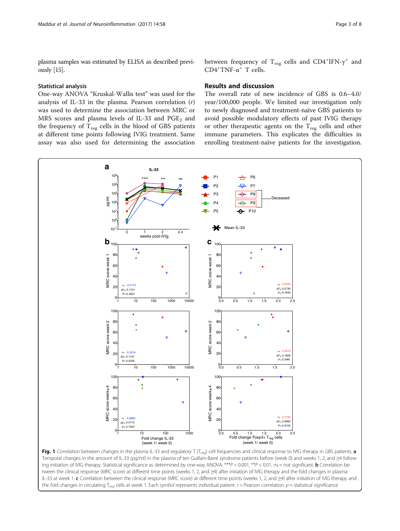<span id="page-2-0"></span>plasma samples was estimated by ELISA as described previously [\[15\]](#page-6-0).

## Statistical analysis

One-way ANOVA "Kruskal-Wallis test" was used for the analysis of IL-33 in the plasma. Pearson correlation  $(r)$ was used to determine the association between MRC or MRS scores and plasma levels of IL-33 and  $PGE<sub>2</sub>$  and the frequency of  $T_{\text{reg}}$  cells in the blood of GBS patients at different time points following IVIG treatment. Same assay was also used for determining the association between frequency of  $T_{reg}$  cells and CD4<sup>+</sup>IFN- $\gamma^+$  and  $CD4+TNF-α+T$  cells.

# Results and discussion

The overall rate of new incidence of GBS is 0.6–4.0/ year/100,000 people. We limited our investigation only to newly diagnosed and treatment-naïve GBS patients to avoid possible modulatory effects of past IVIG therapy or other therapeutic agents on the  $T_{\text{reg}}$  cells and other immune parameters. This explicates the difficulties in enrolling treatment-naïve patients for the investigation.



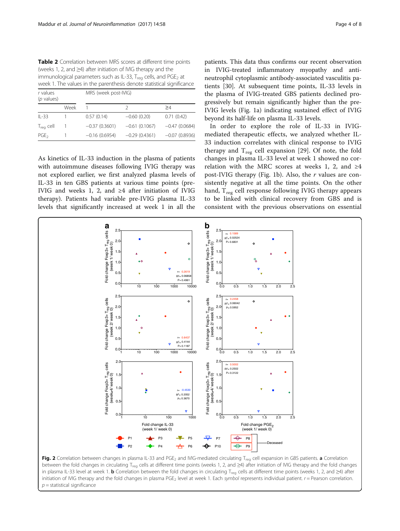<span id="page-3-0"></span>Table 2 Correlation between MRS scores at different time points (weeks 1, 2, and ≥4) after initiation of IVIG therapy and the immunological parameters such as IL-33,  $T_{\text{req}}$  cells, and PGE<sub>2</sub> at week 1. The values in the parenthesis denote statistical significance

| r values<br>$(p$ values) |      | MRS (week post-IVIG) |                 |                 |  |
|--------------------------|------|----------------------|-----------------|-----------------|--|
|                          | Week |                      |                 | >4              |  |
| $IL-33$                  |      | 0.57(0.14)           | $-0.60$ (0.20)  | 0.71(0.42)      |  |
| $T_{reg}$ cell           |      | $-0.37(0.3601)$      | $-0.61(0.1067)$ | $-0.47(0.0684)$ |  |
| PGE <sub>2</sub>         |      | $-0.16(0.6954)$      | $-0.29(0.4361)$ | $-0.07(0.8936)$ |  |

As kinetics of IL-33 induction in the plasma of patients with autoimmune diseases following IVIG therapy was not explored earlier, we first analyzed plasma levels of IL-33 in ten GBS patients at various time points (pre-IVIG and weeks 1, 2, and ≥4 after initiation of IVIG therapy). Patients had variable pre-IVIG plasma IL-33 levels that significantly increased at week 1 in all the

patients. This data thus confirms our recent observation in IVIG-treated inflammatory myopathy and antineutrophil cytoplasmic antibody-associated vasculitis patients [\[30](#page-7-0)]. At subsequent time points, IL-33 levels in the plasma of IVIG-treated GBS patients declined progressively but remain significantly higher than the pre-IVIG levels (Fig. [1a](#page-2-0)) indicating sustained effect of IVIG beyond its half-life on plasma IL-33 levels.

In order to explore the role of IL-33 in IVIGmediated therapeutic effects, we analyzed whether IL-33 induction correlates with clinical response to IVIG therapy and  $T_{\text{reg}}$  cell expansion [[29\]](#page-7-0). Of note, the fold changes in plasma IL-33 level at week 1 showed no correlation with the MRC scores at weeks 1, 2, and  $\geq 4$ post-IVIG therapy (Fig. [1b\)](#page-2-0). Also, the  $r$  values are consistently negative at all the time points. On the other hand,  $T_{\text{reg}}$  cell response following IVIG therapy appears to be linked with clinical recovery from GBS and is consistent with the previous observations on essential



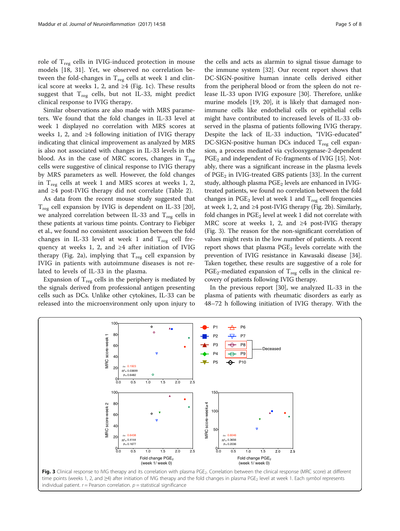role of  $T_{\text{reg}}$  cells in IVIG-induced protection in mouse models [[18, 31\]](#page-7-0). Yet, we observed no correlation between the fold-changes in  $T_{reg}$  cells at week 1 and clinical score at weeks 1, 2, and  $\geq 4$  (Fig. [1c\)](#page-2-0). These results suggest that  $T_{reg}$  cells, but not IL-33, might predict clinical response to IVIG therapy.

Similar observations are also made with MRS parameters. We found that the fold changes in IL-33 level at week 1 displayed no correlation with MRS scores at weeks 1, 2, and  $\geq 4$  following initiation of IVIG therapy indicating that clinical improvement as analyzed by MRS is also not associated with changes in IL-33 levels in the blood. As in the case of MRC scores, changes in  $T_{\text{reg}}$ cells were suggestive of clinical response to IVIG therapy by MRS parameters as well. However, the fold changes in  $T_{\text{reg}}$  cells at week 1 and MRS scores at weeks 1, 2, and ≥4 post-IVIG therapy did not correlate (Table [2\)](#page-3-0).

As data from the recent mouse study suggested that  $T_{\text{reg}}$  cell expansion by IVIG is dependent on IL-33 [\[20](#page-7-0)], we analyzed correlation between IL-33 and  $T_{\text{reg}}$  cells in these patients at various time points. Contrary to Fiebiger et al., we found no consistent association between the fold changes in IL-33 level at week 1 and  $T_{reg}$  cell frequency at weeks 1, 2, and ≥4 after initiation of IVIG therapy (Fig. [2a](#page-3-0)), implying that  $T_{reg}$  cell expansion by IVIG in patients with autoimmune diseases is not related to levels of IL-33 in the plasma.

Expansion of  $T_{reg}$  cells in the periphery is mediated by the signals derived from professional antigen presenting cells such as DCs. Unlike other cytokines, IL-33 can be released into the microenvironment only upon injury to

the immune system [[32\]](#page-7-0). Our recent report shows that DC-SIGN-positive human innate cells derived either from the peripheral blood or from the spleen do not release IL-33 upon IVIG exposure [[30\]](#page-7-0). Therefore, unlike murine models [\[19](#page-7-0), [20\]](#page-7-0), it is likely that damaged nonimmune cells like endothelial cells or epithelial cells might have contributed to increased levels of IL-33 observed in the plasma of patients following IVIG therapy. Despite the lack of IL-33 induction, "IVIG-educated" DC-SIGN-positive human DCs induced  $T_{\text{reg}}$  cell expansion, a process mediated via cyclooxygenase-2-dependent  $PGE<sub>2</sub>$  and independent of Fc-fragments of IVIG [\[15\]](#page-6-0). Notably, there was a significant increase in the plasma levels of PGE<sub>2</sub> in IVIG-treated GBS patients [\[33\]](#page-7-0). In the current study, although plasma  $PGE<sub>2</sub>$  levels are enhanced in IVIGtreated patients, we found no correlation between the fold changes in  $PGE_2$  level at week 1 and  $T_{reg}$  cell frequencies at week 1, 2, and  $\geq 4$  post-IVIG therapy (Fig. [2b](#page-3-0)). Similarly, fold changes in  $PGE<sub>2</sub>$  level at week 1 did not correlate with MRC score at weeks 1, 2, and ≥4 post-IVIG therapy (Fig. 3). The reason for the non-significant correlation of values might rests in the low number of patients. A recent report shows that plasma  $PGE_2$  levels correlate with the prevention of IVIG resistance in Kawasaki disease [[34](#page-7-0)]. Taken together, these results are suggestive of a role for PGE<sub>2</sub>-mediated expansion of T<sub>reg</sub> cells in the clinical recovery of patients following IVIG therapy.

the cells and acts as alarmin to signal tissue damage to

In the previous report [[30](#page-7-0)], we analyzed IL-33 in the plasma of patients with rheumatic disorders as early as 48–72 h following initiation of IVIG therapy. With the

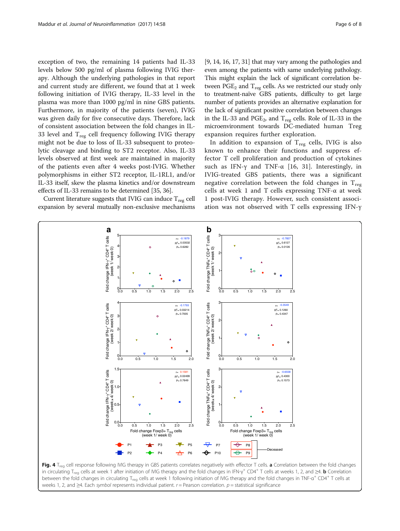<span id="page-5-0"></span>exception of two, the remaining 14 patients had IL-33 levels below 500 pg/ml of plasma following IVIG therapy. Although the underlying pathologies in that report and current study are different, we found that at 1 week following initiation of IVIG therapy, IL-33 level in the plasma was more than 1000 pg/ml in nine GBS patients. Furthermore, in majority of the patients (seven), IVIG was given daily for five consecutive days. Therefore, lack of consistent association between the fold changes in IL-33 level and  $T_{\text{reg}}$  cell frequency following IVIG therapy might not be due to loss of IL-33 subsequent to proteolytic cleavage and binding to ST2 receptor. Also, IL-33 levels observed at first week are maintained in majority of the patients even after 4 weeks post-IVIG. Whether polymorphisms in either ST2 receptor, IL-1RL1, and/or IL-33 itself, skew the plasma kinetics and/or downstream effects of IL-33 remains to be determined [\[35, 36](#page-7-0)].

Current literature suggests that IVIG can induce  $T_{\text{reg}}$  cell expansion by several mutually non-exclusive mechanisms [[9](#page-6-0), [14,](#page-6-0) [16, 17](#page-7-0), [31](#page-7-0)] that may vary among the pathologies and even among the patients with same underlying pathology. This might explain the lack of significant correlation between  $PGE_2$  and  $T_{reg}$  cells. As we restricted our study only to treatment-naïve GBS patients, difficulty to get large number of patients provides an alternative explanation for the lack of significant positive correlation between changes in the IL-33 and PGE<sub>2</sub>, and  $T_{\text{reg}}$  cells. Role of IL-33 in the microenvironment towards DC-mediated human Treg

In addition to expansion of  $T_{\text{reg}}$  cells, IVIG is also known to enhance their functions and suppress effector T cell proliferation and production of cytokines such as IFN- $\gamma$  and TNF- $\alpha$  [[16, 31\]](#page-7-0). Interestingly, in IVIG-treated GBS patients, there was a significant negative correlation between the fold changes in  $T_{reg}$ cells at week 1 and T cells expressing TNF-α at week 1 post-IVIG therapy. However, such consistent association was not observed with T cells expressing IFN-γ

expansion requires further exploration.

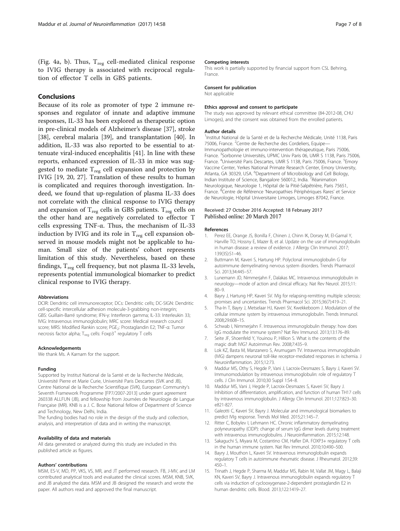<span id="page-6-0"></span>(Fig. [4a, b\)](#page-5-0). Thus,  $T_{\text{reg}}$  cell-mediated clinical response to IVIG therapy is associated with reciprocal regulation of effector T cells in GBS patients.

## Conclusions

Because of its role as promoter of type 2 immune responses and regulator of innate and adaptive immune responses, IL-33 has been explored as therapeutic option in pre-clinical models of Alzheimer's disease [[37\]](#page-7-0), stroke [[38\]](#page-7-0), cerebral malaria [\[39\]](#page-7-0), and transplantation [\[40](#page-7-0)]. In addition, IL-33 was also reported to be essential to attenuate viral-induced encephalitis [\[41\]](#page-7-0). In line with these reports, enhanced expression of IL-33 in mice was suggested to mediate  $T_{reg}$  cell expansion and protection by IVIG [[19, 20](#page-7-0), [27\]](#page-7-0). Translation of these results to human is complicated and requires thorough investigation. Indeed, we found that up-regulation of plasma IL-33 does not correlate with the clinical response to IVIG therapy and expansion of  $T_{\text{reg}}$  cells in GBS patients.  $T_{\text{reg}}$  cells on the other hand are negatively correlated to effector T cells expressing TNF-α. Thus, the mechanism of IL-33 induction by IVIG and its role in  $T_{reg}$  cell expansion observed in mouse models might not be applicable to human. Small size of the patients' cohort represents limitation of this study. Nevertheless, based on these findings,  $T_{reg}$  cell frequency, but not plasma IL-33 levels, represents potential immunological biomarker to predict clinical response to IVIG therapy.

#### Abbreviations

DCIR: Dendritic cell immunoreceptor; DCs: Dendritic cells; DC-SIGN: Dendritic cell-specific intercellular adhesion molecule-3-grabbing non-integrin; GBS: Guillain-Barré syndrome; IFN-γ: Interferon gamma; IL-33: Interleukin 33; IVIG: Intravenous immunoglobulin; MRC score: Medical research council score; MRS: Modified Rankin score; PGE<sub>2</sub>: Prostaglandin E2; TNF-α: Tumor necrosis factor alpha;  $T_{\text{req}}$  cells: Foxp3<sup>+</sup> regulatory T cells

#### Acknowledgements

We thank Ms. A Karnam for the support.

#### Funding

Supported by Institut National de la Santé et de la Recherche Médicale, Université Pierre et Marie Curie, Université Paris Descartes (SVK and JB), Centre National de la Recherche Scientifique (SVK), European Community's Seventh Framework Programme [FP7/2007-2013] under grant agreement 260338 ALLFUN (JB), and fellowship from Journées de Neurologie de Langue Française (MR). KNB is a J. C. Bose National fellow of Department of Science and Technology, New Delhi, India.

The funding bodies had no role in the design of the study and collection, analysis, and interpretation of data and in writing the manuscript.

#### Availability of data and materials

All data generated or analyzed during this study are included in this published article as figures.

#### Authors' contributions

MSM, ES-V, MD, PP, VKS, VS, MR, and JT performed research. FB, J-MV, and LM contributed analytical tools and evaluated the clinical scores. MSM, KNB, SVK, and JB analyzed the data. MSM and JB designed the research and wrote the paper. All authors read and approved the final manuscript.

#### Competing interests

This work is partially supported by financial support from CSL Behring, France.

### Consent for publication

Not applicable

#### Ethics approval and consent to participate

The study was approved by relevant ethical committee (84-2012-08, CHU Limoges), and the consent was obtained from the enrolled patients.

#### Author details

<sup>1</sup>Institut National de la Santé et de la Recherche Médicale, Unité 1138, Paris 75006, France. <sup>2</sup>Centre de Recherche des Cordeliers, Equipe-Immunopathologie et immuno-intervention thérapeutique, Paris 75006, France. <sup>3</sup>Sorbonne Universités, UPMC Univ Paris 06, UMR S 1138, Paris 75006 France. <sup>4</sup>Université Paris Descartes, UMR S 1138, Paris 75006, France. <sup>5</sup>Emory Vaccine Center, Yerkes National Primate Research Center, Emory University, Atlanta, GA 30329, USA. <sup>6</sup>Department of Microbiology and Cell Biology Indian Institute of Science, Bangalore 560012, India.<sup>7</sup>Réanimation Neurologique, Neurologie 1, Hôpital de la Pitié-Salpêtrière, Paris 75651, France. <sup>8</sup>Centre de Référence 'Neuropathies Périphériques Rares' et Service de Neurologie, Hôpital Universitaire Limoges, Limoges 87042, France.

#### Received: 27 October 2016 Accepted: 18 February 2017 Published online: 20 March 2017

#### References

- 1. Perez EE, Orange JS, Bonilla F, Chinen J, Chinn IK, Dorsey M, El-Gamal Y, Harville TO, Hossny E, Mazer B, et al. Update on the use of immunoglobulin in human disease: a review of evidence. J Allergy Clin Immunol. 2017; 139(3S):S1–46.
- 2. Buttmann M, Kaveri S, Hartung HP. Polyclonal immunoglobulin G for autoimmune demyelinating nervous system disorders. Trends Pharmacol Sci. 2013;34:445–57.
- 3. Lunemann JD, Nimmerjahn F, Dalakas MC. Intravenous immunoglobulin in neurology—mode of action and clinical efficacy. Nat Rev Neurol. 2015;11: 80–9.
- 4. Bayry J, Hartung HP, Kaveri SV. IVIg for relapsing-remitting multiple sclerosis: promises and uncertainties. Trends Pharmacol Sci. 2015;36(7):419–21.
- 5. Tha-In T, Bayry J, Metselaar HJ, Kaveri SV, Kwekkeboom J. Modulation of the cellular immune system by intravenous immunoglobulin. Trends Immunol. 2008;29:608–15.
- 6. Schwab I, Nimmerjahn F. Intravenous immunoglobulin therapy: how does IgG modulate the immune system? Nat Rev Immunol. 2013;13:176–89.
- 7. Seite JF, Shoenfeld Y, Youinou P, Hillion S. What is the contents of the magic draft IVIG? Autoimmun Rev. 2008;7:435–9.
- 8. Lok KZ, Basta M, Manzanero S, Arumugam TV. Intravenous immunoglobulin (IVIG) dampens neuronal toll-like receptor-mediated responses in ischemia. J Neuroinflammation. 2015;12:73.
- 9. Maddur MS, Othy S, Hegde P, Vani J, Lacroix-Desmazes S, Bayry J, Kaveri SV. Immunomodulation by intravenous immunoglobulin: role of regulatory T cells. J Clin Immunol. 2010;30 Suppl 1:S4–8.
- 10. Maddur MS, Vani J, Hegde P, Lacroix-Desmazes S, Kaveri SV, Bayry J. Inhibition of differentiation, amplification, and function of human TH17 cells by intravenous immunoglobulin. J Allergy Clin Immunol. 2011;127:823–30. e821-827.
- 11. Galeotti C, Kaveri SV, Bayry J. Molecular and immunological biomarkers to predict IVIg response. Trends Mol Med. 2015;21:145–7.
- 12. Ritter C, Bobylev I, Lehmann HC. Chronic inflammatory demyelinating polyneuropathy (CIDP): change of serum IgG dimer levels during treatment with intravenous immunoglobulins. J Neuroinflammation. 2015;12:148.
- 13. Sakaguchi S, Miyara M, Costantino CM, Hafler DA. FOXP3+ regulatory T cells in the human immune system. Nat Rev Immunol. 2010;10:490–500.
- 14. Bayry J, Mouthon L, Kaveri SV. Intravenous immunoglobulin expands regulatory T cells in autoimmune rheumatic disease. J Rheumatol. 2012;39: 450–1.
- 15. Trinath J, Hegde P, Sharma M, Maddur MS, Rabin M, Vallat JM, Magy L, Balaji KN, Kaveri SV, Bayry J. Intravenous immunoglobulin expands regulatory T cells via induction of cyclooxygenase-2-dependent prostaglandin E2 in human dendritic cells. Blood. 2013;122:1419–27.